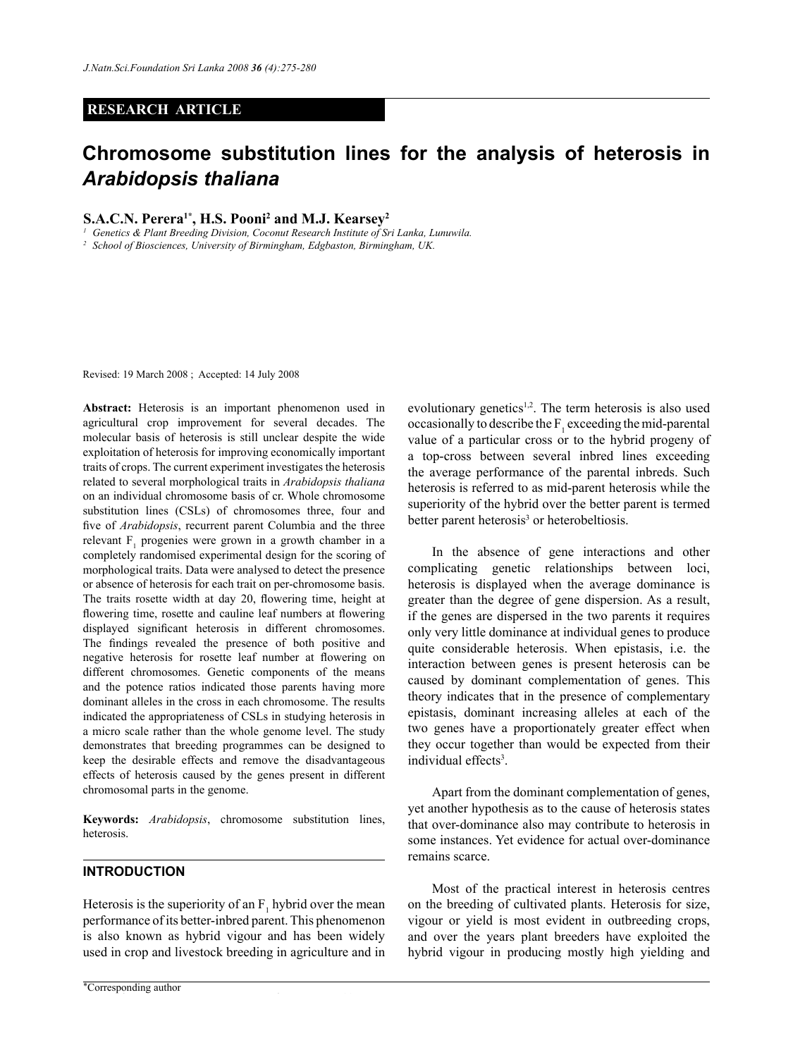# **RESEARCH ARTICLE**

# **Chromosome substitution lines for the analysis of heterosis in**  *Arabidopsis thaliana*

**S.A.C.N. Perera1\*, H.S. Pooni2 and M.J. Kearsey2**

*<sup>1</sup> Genetics & Plant Breeding Division, Coconut Research Institute of Sri Lanka, Lunuwila.*

*<sup>2</sup> School of Biosciences, University of Birmingham, Edgbaston, Birmingham, UK.* 

Revised: 19 March 2008 ; Accepted: 14 July 2008

**Abstract:** Heterosis is an important phenomenon used in agricultural crop improvement for several decades. The molecular basis of heterosis is still unclear despite the wide exploitation of heterosis for improving economically important traits of crops. The current experiment investigates the heterosis related to several morphological traits in *Arabidopsis thaliana* on an individual chromosome basis of cr. Whole chromosome substitution lines (CSLs) of chromosomes three, four and five of *Arabidopsis*, recurrent parent Columbia and the three relevant  $F_1$  progenies were grown in a growth chamber in a completely randomised experimental design for the scoring of morphological traits. Data were analysed to detect the presence or absence of heterosis for each trait on per-chromosome basis. The traits rosette width at day 20, flowering time, height at flowering time, rosette and cauline leaf numbers at flowering displayed significant heterosis in different chromosomes. The findings revealed the presence of both positive and negative heterosis for rosette leaf number at flowering on different chromosomes. Genetic components of the means and the potence ratios indicated those parents having more dominant alleles in the cross in each chromosome. The results indicated the appropriateness of CSLs in studying heterosis in a micro scale rather than the whole genome level. The study demonstrates that breeding programmes can be designed to keep the desirable effects and remove the disadvantageous effects of heterosis caused by the genes present in different chromosomal parts in the genome.

**Keywords:** *Arabidopsis*, chromosome substitution lines, heterosis.

#### **Introduction**

Heterosis is the superiority of an  $F_1$  hybrid over the mean performance of its better-inbred parent. This phenomenon is also known as hybrid vigour and has been widely used in crop and livestock breeding in agriculture and in

evolutionary genetics<sup>1,2</sup>. The term heterosis is also used occasionally to describe the  $F_1$  exceeding the mid-parental value of a particular cross or to the hybrid progeny of a top-cross between several inbred lines exceeding the average performance of the parental inbreds. Such heterosis is referred to as mid-parent heterosis while the superiority of the hybrid over the better parent is termed better parent heterosis<sup>3</sup> or heterobeltiosis.

In the absence of gene interactions and other complicating genetic relationships between loci, heterosis is displayed when the average dominance is greater than the degree of gene dispersion. As a result, if the genes are dispersed in the two parents it requires only very little dominance at individual genes to produce quite considerable heterosis. When epistasis, i.e. the interaction between genes is present heterosis can be caused by dominant complementation of genes. This theory indicates that in the presence of complementary epistasis, dominant increasing alleles at each of the two genes have a proportionately greater effect when they occur together than would be expected from their individual effects<sup>3</sup>.

Apart from the dominant complementation of genes, yet another hypothesis as to the cause of heterosis states that over-dominance also may contribute to heterosis in some instances. Yet evidence for actual over-dominance remains scarce.

Most of the practical interest in heterosis centres on the breeding of cultivated plants. Heterosis for size, vigour or yield is most evident in outbreeding crops, and over the years plant breeders have exploited the hybrid vigour in producing mostly high yielding and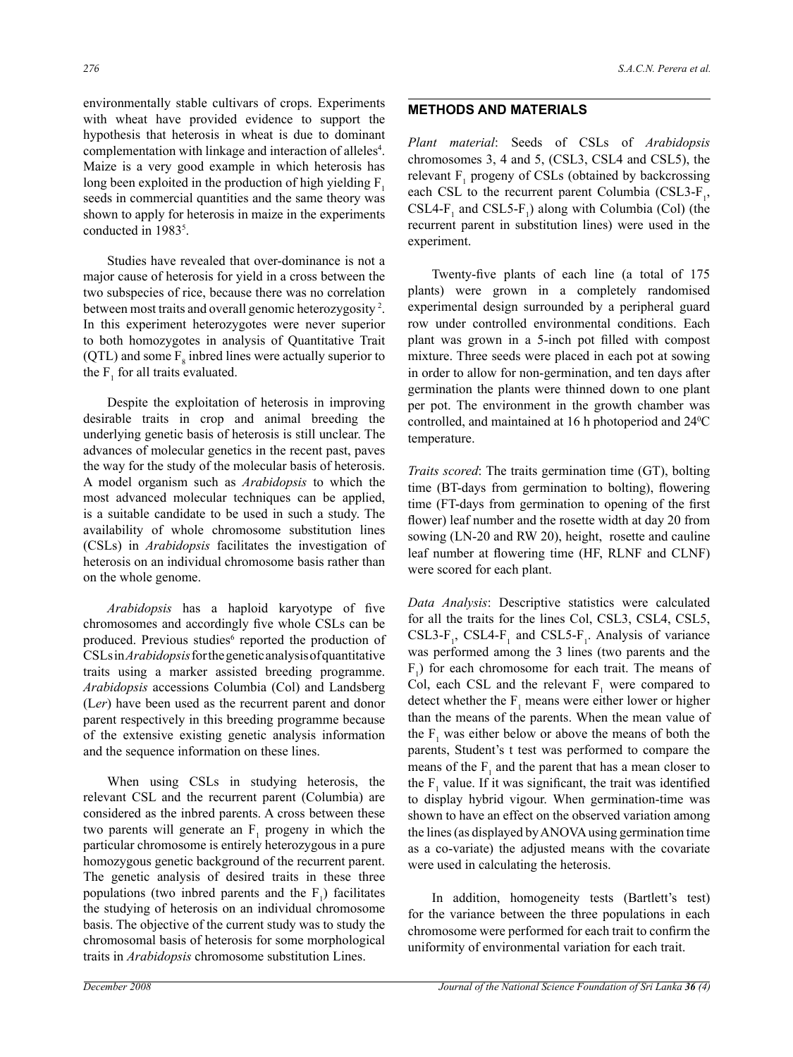environmentally stable cultivars of crops. Experiments with wheat have provided evidence to support the hypothesis that heterosis in wheat is due to dominant complementation with linkage and interaction of alleles<sup>4</sup>. Maize is a very good example in which heterosis has long been exploited in the production of high yielding  $F_1$ seeds in commercial quantities and the same theory was shown to apply for heterosis in maize in the experiments conducted in 1983<sup>5</sup>.

Studies have revealed that over-dominance is not a major cause of heterosis for yield in a cross between the two subspecies of rice, because there was no correlation between most traits and overall genomic heterozygosity<sup>2</sup>. In this experiment heterozygotes were never superior to both homozygotes in analysis of Quantitative Trait (QTL) and some  $F_8$  inbred lines were actually superior to the  $F_1$  for all traits evaluated.

Despite the exploitation of heterosis in improving desirable traits in crop and animal breeding the underlying genetic basis of heterosis is still unclear. The advances of molecular genetics in the recent past, paves the way for the study of the molecular basis of heterosis. A model organism such as *Arabidopsis* to which the most advanced molecular techniques can be applied, is a suitable candidate to be used in such a study. The availability of whole chromosome substitution lines (CSLs) in *Arabidopsis* facilitates the investigation of heterosis on an individual chromosome basis rather than on the whole genome.

*Arabidopsis* has a haploid karyotype of five chromosomes and accordingly five whole CSLs can be produced. Previous studies<sup>6</sup> reported the production of CSLs in *Arabidopsis* for the genetic analysis of quantitative traits using a marker assisted breeding programme. *Arabidopsis* accessions Columbia (Col) and Landsberg (L*er*) have been used as the recurrent parent and donor parent respectively in this breeding programme because of the extensive existing genetic analysis information and the sequence information on these lines.

When using CSLs in studying heterosis, the relevant CSL and the recurrent parent (Columbia) are considered as the inbred parents. A cross between these two parents will generate an  $F_1$  progeny in which the particular chromosome is entirely heterozygous in a pure homozygous genetic background of the recurrent parent. The genetic analysis of desired traits in these three populations (two inbred parents and the  $F_1$ ) facilitates the studying of heterosis on an individual chromosome basis. The objective of the current study was to study the chromosomal basis of heterosis for some morphological traits in *Arabidopsis* chromosome substitution Lines.

# **Methods and Materials**

*Plant material*: Seeds of CSLs of *Arabidopsis*  chromosomes 3, 4 and 5, (CSL3, CSL4 and CSL5), the relevant  $F_1$  progeny of CSLs (obtained by backcrossing each CSL to the recurrent parent Columbia (CSL3- $F_1$ , CSL4- $F_1$  and CSL5- $F_1$ ) along with Columbia (Col) (the recurrent parent in substitution lines) were used in the experiment.

 Twenty-five plants of each line (a total of 175 plants) were grown in a completely randomised experimental design surrounded by a peripheral guard row under controlled environmental conditions. Each plant was grown in a 5-inch pot filled with compost mixture. Three seeds were placed in each pot at sowing in order to allow for non-germination, and ten days after germination the plants were thinned down to one plant per pot. The environment in the growth chamber was controlled, and maintained at 16 h photoperiod and 240 C temperature.

*Traits scored*: The traits germination time (GT), bolting time (BT-days from germination to bolting), flowering time (FT-days from germination to opening of the first flower) leaf number and the rosette width at day 20 from sowing (LN-20 and RW 20), height, rosette and cauline leaf number at flowering time (HF, RLNF and CLNF) were scored for each plant.

*Data Analysis*: Descriptive statistics were calculated for all the traits for the lines Col, CSL3, CSL4, CSL5, CSL3- $F_1$ , CSL4- $F_1$  and CSL5- $F_1$ . Analysis of variance was performed among the 3 lines (two parents and the  $F_1$ ) for each chromosome for each trait. The means of Col, each CSL and the relevant  $F_1$  were compared to detect whether the  $F_1$  means were either lower or higher than the means of the parents. When the mean value of the  $F_1$  was either below or above the means of both the parents, Student's t test was performed to compare the means of the  $F_1$  and the parent that has a mean closer to the  $F_1$  value. If it was significant, the trait was identified to display hybrid vigour. When germination-time was shown to have an effect on the observed variation among the lines (as displayed by ANOVA using germination time as a co-variate) the adjusted means with the covariate were used in calculating the heterosis.

In addition, homogeneity tests (Bartlett's test) for the variance between the three populations in each chromosome were performed for each trait to confirm the uniformity of environmental variation for each trait.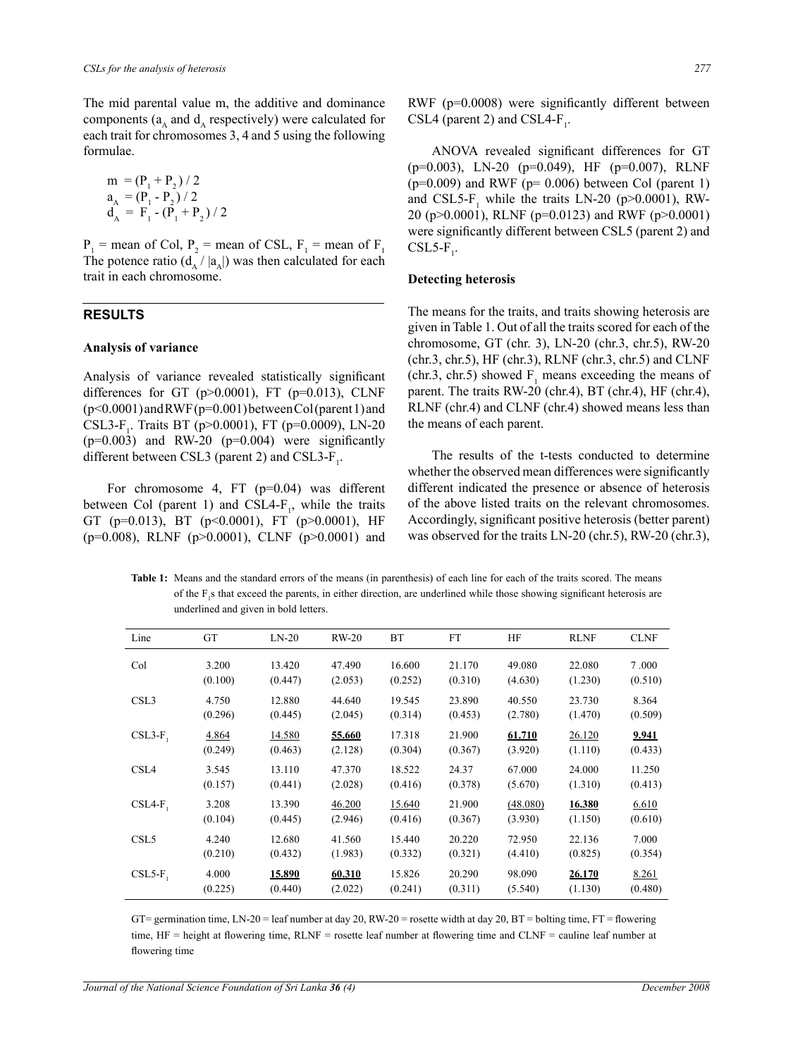The mid parental value m, the additive and dominance components ( $a_A$  and  $d_A$  respectively) were calculated for each trait for chromosomes 3, 4 and 5 using the following formulae.

$$
m = (P1 + P2) / 2
$$
  
\n
$$
aA = (P1 - P2) / 2
$$
  
\n
$$
dA = F1 - (P1 + P2) / 2
$$

 $P_1$  = mean of Col,  $P_2$  = mean of CSL,  $F_1$  = mean of  $F_1$ The potence ratio  $(d_A / |a_A|)$  was then calculated for each trait in each chromosome.

# **Results**

#### **Analysis of variance**

Analysis of variance revealed statistically significant differences for GT ( $p$  $> 0.0001$ ), FT ( $p$ = $0.013$ ), CLNF (p<0.0001) and RWF (p=0.001) between Col (parent 1) and CSL3-F<sub>1</sub>. Traits BT (p>0.0001), FT (p=0.0009), LN-20  $(p=0.003)$  and RW-20  $(p=0.004)$  were significantly different between CSL3 (parent 2) and CSL3- $F_1$ .

For chromosome 4, FT  $(p=0.04)$  was different between Col (parent 1) and CSL4- $F_1$ , while the traits GT (p=0.013), BT (p<0.0001), FT (p>0.0001), HF  $(p=0.008)$ , RLNF  $(p>0.0001)$ , CLNF  $(p>0.0001)$  and

RWF (p=0.0008) were significantly different between CSL4 (parent 2) and CSL4- $F_1$ .

 ANOVA revealed significant differences for GT (p=0.003), LN-20 (p=0.049), HF (p=0.007), RLNF  $(p=0.009)$  and RWF ( $p= 0.006$ ) between Col (parent 1) and CSL5- $F_1$  while the traits LN-20 (p>0.0001), RW-20 (p>0.0001), RLNF (p=0.0123) and RWF (p>0.0001) were significantly different between CSL5 (parent 2) and  $CSL5-F_1$ .

#### **Detecting heterosis**

The means for the traits, and traits showing heterosis are given in Table 1. Out of all the traits scored for each of the chromosome, GT (chr. 3), LN-20 (chr.3, chr.5), RW-20 (chr.3, chr.5), HF (chr.3), RLNF (chr.3, chr.5) and CLNF (chr.3, chr.5) showed  $F_1$  means exceeding the means of parent. The traits RW-20 (chr.4), BT (chr.4), HF (chr.4), RLNF (chr.4) and CLNF (chr.4) showed means less than the means of each parent.

The results of the t-tests conducted to determine whether the observed mean differences were significantly different indicated the presence or absence of heterosis of the above listed traits on the relevant chromosomes. Accordingly, significant positive heterosis (better parent) was observed for the traits LN-20 (chr.5), RW-20 (chr.3),

**Table 1:** Means and the standard errors of the means (in parenthesis) of each line for each of the traits scored. The means of the  $F_1$ s that exceed the parents, in either direction, are underlined while those showing significant heterosis are underlined and given in bold letters.

| Line             | GT      | $LN-20$ | $RW-20$ | <b>BT</b> | <b>FT</b> | HF       | <b>RLNF</b> | <b>CLNF</b> |
|------------------|---------|---------|---------|-----------|-----------|----------|-------------|-------------|
| Col              | 3.200   | 13.420  | 47.490  | 16.600    | 21.170    | 49.080   | 22.080      | 7.000       |
|                  | (0.100) | (0.447) | (2.053) | (0.252)   | (0.310)   | (4.630)  | (1.230)     | (0.510)     |
| CSL <sub>3</sub> | 4.750   | 12.880  | 44.640  | 19.545    | 23.890    | 40.550   | 23.730      | 8.364       |
|                  | (0.296) | (0.445) | (2.045) | (0.314)   | (0.453)   | (2.780)  | (1.470)     | (0.509)     |
| $CSL3-F$         | 4.864   | 14.580  | 55.660  | 17.318    | 21.900    | 61.710   | 26.120      | 9.941       |
|                  | (0.249) | (0.463) | (2.128) | (0.304)   | (0.367)   | (3.920)  | (1.110)     | (0.433)     |
| CSL <sub>4</sub> | 3.545   | 13.110  | 47.370  | 18.522    | 24.37     | 67.000   | 24.000      | 11.250      |
|                  | (0.157) | (0.441) | (2.028) | (0.416)   | (0.378)   | (5.670)  | (1.310)     | (0.413)     |
| $CSL4-F$         | 3.208   | 13.390  | 46.200  | 15.640    | 21.900    | (48.080) | 16.380      | 6.610       |
|                  | (0.104) | (0.445) | (2.946) | (0.416)   | (0.367)   | (3.930)  | (1.150)     | (0.610)     |
| CSL <sub>5</sub> | 4.240   | 12.680  | 41.560  | 15.440    | 20.220    | 72.950   | 22.136      | 7.000       |
|                  | (0.210) | (0.432) | (1.983) | (0.332)   | (0.321)   | (4.410)  | (0.825)     | (0.354)     |
| $CSL5-F$         | 4.000   | 15.890  | 60.310  | 15.826    | 20.290    | 98.090   | 26.170      | 8.261       |
|                  | (0.225) | (0.440) | (2.022) | (0.241)   | (0.311)   | (5.540)  | (1.130)     | (0.480)     |

GT= germination time, LN-20 = leaf number at day 20, RW-20 = rosette width at day 20, BT = bolting time, FT = flowering time, HF = height at flowering time, RLNF = rosette leaf number at flowering time and CLNF = cauline leaf number at flowering time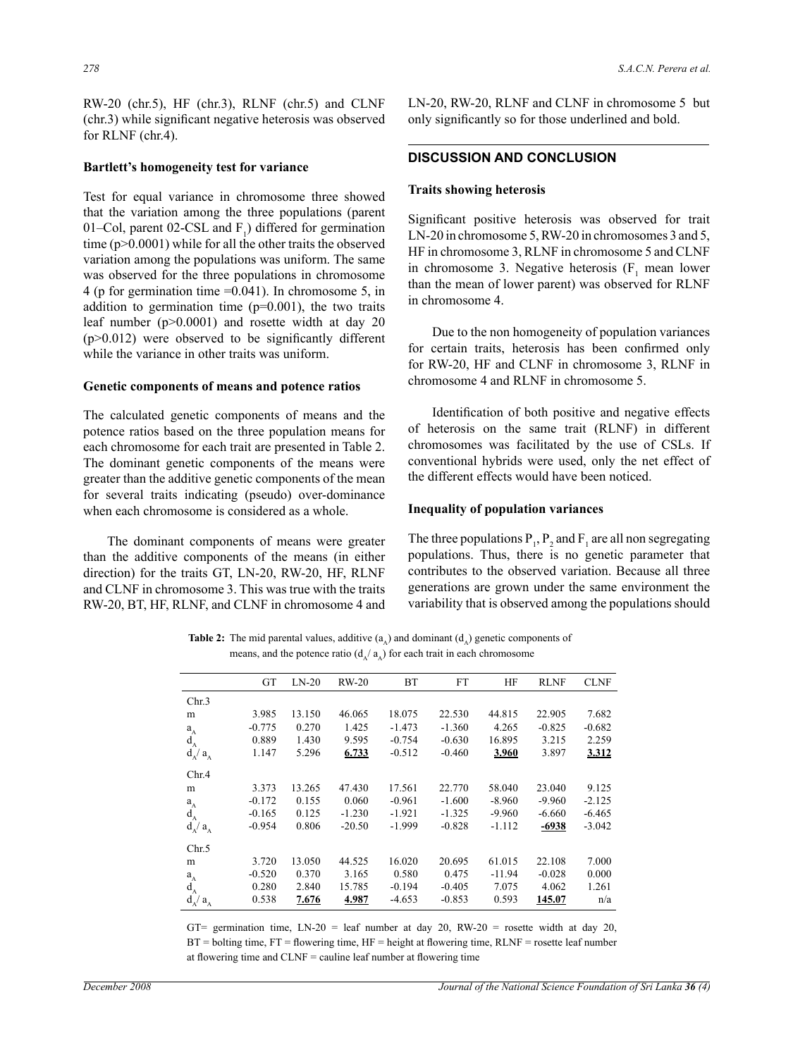RW-20 (chr.5), HF (chr.3), RLNF (chr.5) and CLNF (chr.3) while significant negative heterosis was observed for RLNF (chr.4).

#### **Bartlett's homogeneity test for variance**

Test for equal variance in chromosome three showed that the variation among the three populations (parent 01–Col, parent 02-CSL and  $F_1$ ) differed for germination time (p>0.0001) while for all the other traits the observed variation among the populations was uniform. The same was observed for the three populations in chromosome 4 (p for germination time =0.041). In chromosome 5, in addition to germination time  $(p=0.001)$ , the two traits leaf number (p>0.0001) and rosette width at day 20 (p>0.012) were observed to be significantly different while the variance in other traits was uniform.

#### **Genetic components of means and potence ratios**

The calculated genetic components of means and the potence ratios based on the three population means for each chromosome for each trait are presented in Table 2. The dominant genetic components of the means were greater than the additive genetic components of the mean for several traits indicating (pseudo) over-dominance when each chromosome is considered as a whole.

The dominant components of means were greater than the additive components of the means (in either direction) for the traits GT, LN-20, RW-20, HF, RLNF and CLNF in chromosome 3. This was true with the traits RW-20, BT, HF, RLNF, and CLNF in chromosome 4 and LN-20, RW-20, RLNF and CLNF in chromosome 5 but only significantly so for those underlined and bold.

### **Discussion and conclusion**

#### **Traits showing heterosis**

Significant positive heterosis was observed for trait LN-20 in chromosome 5, RW-20 in chromosomes 3 and 5, HF in chromosome 3, RLNF in chromosome 5 and CLNF in chromosome 3. Negative heterosis  $(F_1 \text{ mean lower})$ than the mean of lower parent) was observed for RLNF in chromosome 4.

Due to the non homogeneity of population variances for certain traits, heterosis has been confirmed only for RW-20, HF and CLNF in chromosome 3, RLNF in chromosome 4 and RLNF in chromosome 5.

 Identification of both positive and negative effects of heterosis on the same trait (RLNF) in different chromosomes was facilitated by the use of CSLs. If conventional hybrids were used, only the net effect of the different effects would have been noticed.

# **Inequality of population variances**

The three populations  $P_1$ ,  $P_2$  and  $F_1$  are all non segregating populations. Thus, there is no genetic parameter that contributes to the observed variation. Because all three generations are grown under the same environment the variability that is observed among the populations should

**Table 2:** The mid parental values, additive  $(a_{\lambda})$  and dominant  $(d_{\lambda})$  genetic components of means, and the potence ratio  $(d_A/a_A)$  for each trait in each chromosome

|                                             | <b>GT</b> | $LN-20$ | $RW-20$  | <b>BT</b> | <b>FT</b> | HF       | <b>RLNF</b> | <b>CLNF</b> |
|---------------------------------------------|-----------|---------|----------|-----------|-----------|----------|-------------|-------------|
| Chr.3                                       |           |         |          |           |           |          |             |             |
| m                                           | 3.985     | 13.150  | 46.065   | 18.075    | 22.530    | 44.815   | 22.905      | 7.682       |
| $a_A$                                       | $-0.775$  | 0.270   | 1.425    | $-1.473$  | $-1.360$  | 4.265    | $-0.825$    | $-0.682$    |
| $d_A$                                       | 0.889     | 1.430   | 9.595    | $-0.754$  | $-0.630$  | 16.895   | 3.215       | 2.259       |
| $d_A / a_A$                                 | 1.147     | 5.296   | 6.733    | $-0.512$  | $-0.460$  | 3.960    | 3.897       | 3.312       |
| Chr.4                                       |           |         |          |           |           |          |             |             |
| m                                           | 3.373     | 13.265  | 47.430   | 17.561    | 22.770    | 58.040   | 23.040      | 9.125       |
| $a_A$                                       | $-0.172$  | 0.155   | 0.060    | $-0.961$  | $-1.600$  | $-8.960$ | $-9.960$    | $-2.125$    |
| $\mathbf{d}_{\scriptscriptstyle\mathbf{A}}$ | $-0.165$  | 0.125   | $-1.230$ | $-1.921$  | $-1.325$  | $-9.960$ | $-6.660$    | $-6.465$    |
| $d_A/a_A$                                   | $-0.954$  | 0.806   | $-20.50$ | $-1.999$  | $-0.828$  | -1.112   | $-6938$     | $-3.042$    |
| Chr.5                                       |           |         |          |           |           |          |             |             |
| m                                           | 3.720     | 13.050  | 44.525   | 16.020    | 20.695    | 61.015   | 22.108      | 7.000       |
|                                             | $-0.520$  | 0.370   | 3.165    | 0.580     | 0.475     | $-11.94$ | $-0.028$    | 0.000       |
| $a_A^A$                                     | 0.280     | 2.840   | 15.785   | $-0.194$  | $-0.405$  | 7.075    | 4.062       | 1.261       |
| $d_A/a_A$                                   | 0.538     | 7.676   | 4.987    | $-4.653$  | $-0.853$  | 0.593    | 145.07      | n/a         |

GT= germination time, LN-20 = leaf number at day 20, RW-20 = rosette width at day 20,  $BT =$  bolting time,  $FT =$  flowering time,  $HF =$  height at flowering time,  $RLNF =$  rosette leaf number at flowering time and CLNF = cauline leaf number at flowering time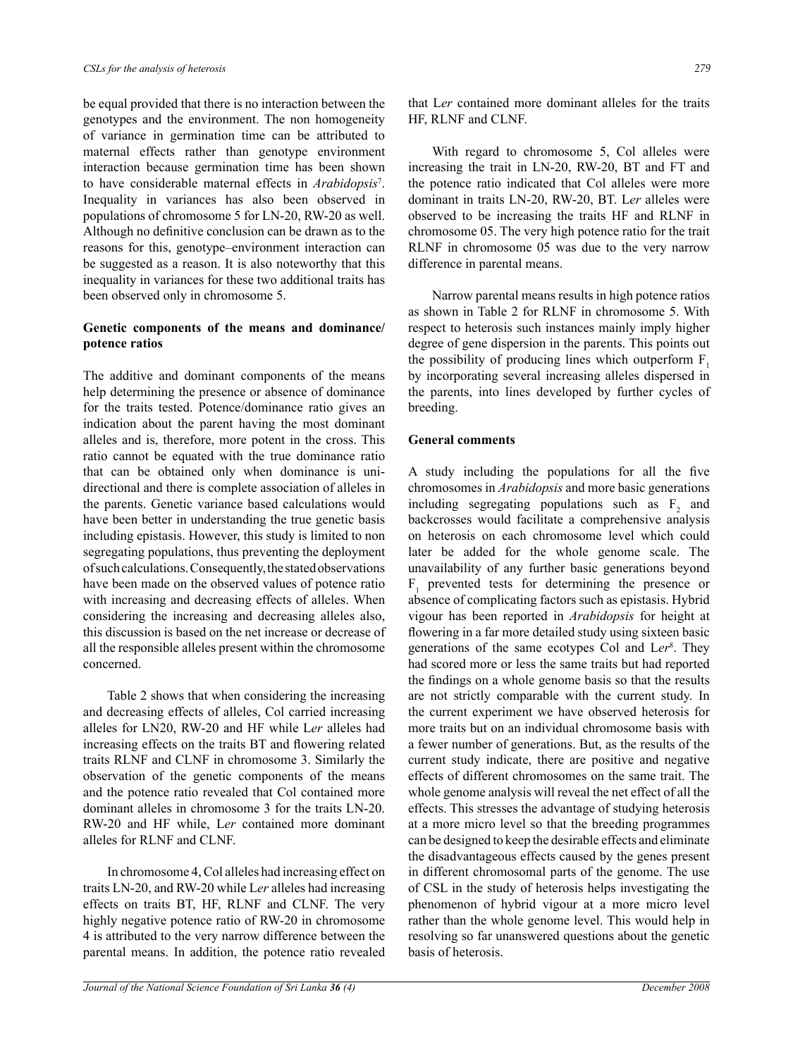be equal provided that there is no interaction between the genotypes and the environment. The non homogeneity of variance in germination time can be attributed to maternal effects rather than genotype environment interaction because germination time has been shown to have considerable maternal effects in *Arabidopsis*<sup>7</sup> . Inequality in variances has also been observed in populations of chromosome 5 for LN-20, RW-20 as well. Although no definitive conclusion can be drawn as to the reasons for this, genotype–environment interaction can be suggested as a reason. It is also noteworthy that this inequality in variances for these two additional traits has been observed only in chromosome 5.

# **Genetic components of the means and dominance/ potence ratios**

The additive and dominant components of the means help determining the presence or absence of dominance for the traits tested. Potence/dominance ratio gives an indication about the parent having the most dominant alleles and is, therefore, more potent in the cross. This ratio cannot be equated with the true dominance ratio that can be obtained only when dominance is unidirectional and there is complete association of alleles in the parents. Genetic variance based calculations would have been better in understanding the true genetic basis including epistasis. However, this study is limited to non segregating populations, thus preventing the deployment of such calculations. Consequently, the stated observations have been made on the observed values of potence ratio with increasing and decreasing effects of alleles. When considering the increasing and decreasing alleles also, this discussion is based on the net increase or decrease of all the responsible alleles present within the chromosome concerned.

Table 2 shows that when considering the increasing and decreasing effects of alleles, Col carried increasing alleles for LN20, RW-20 and HF while L*er* alleles had increasing effects on the traits BT and flowering related traits RLNF and CLNF in chromosome 3. Similarly the observation of the genetic components of the means and the potence ratio revealed that Col contained more dominant alleles in chromosome 3 for the traits LN-20. RW-20 and HF while, L*er* contained more dominant alleles for RLNF and CLNF.

In chromosome 4, Col alleles had increasing effect on traits LN-20, and RW-20 while L*er* alleles had increasing effects on traits BT, HF, RLNF and CLNF. The very highly negative potence ratio of RW-20 in chromosome 4 is attributed to the very narrow difference between the parental means. In addition, the potence ratio revealed

that L*er* contained more dominant alleles for the traits HF, RLNF and CLNF.

With regard to chromosome 5, Col alleles were increasing the trait in LN-20, RW-20, BT and FT and the potence ratio indicated that Col alleles were more dominant in traits LN-20, RW-20, BT. L*er* alleles were observed to be increasing the traits HF and RLNF in chromosome 05. The very high potence ratio for the trait RLNF in chromosome 05 was due to the very narrow difference in parental means.

Narrow parental means results in high potence ratios as shown in Table 2 for RLNF in chromosome 5. With respect to heterosis such instances mainly imply higher degree of gene dispersion in the parents. This points out the possibility of producing lines which outperform  $F_1$ by incorporating several increasing alleles dispersed in the parents, into lines developed by further cycles of breeding.

# **General comments**

A study including the populations for all the five chromosomes in *Arabidopsis* and more basic generations including segregating populations such as  $F_2$  and backcrosses would facilitate a comprehensive analysis on heterosis on each chromosome level which could later be added for the whole genome scale. The unavailability of any further basic generations beyond  $F_1$  prevented tests for determining the presence or absence of complicating factors such as epistasis. Hybrid vigour has been reported in *Arabidopsis* for height at flowering in a far more detailed study using sixteen basic generations of the same ecotypes Col and L*er*<sup>8</sup> . They had scored more or less the same traits but had reported the findings on a whole genome basis so that the results are not strictly comparable with the current study. In the current experiment we have observed heterosis for more traits but on an individual chromosome basis with a fewer number of generations. But, as the results of the current study indicate, there are positive and negative effects of different chromosomes on the same trait. The whole genome analysis will reveal the net effect of all the effects. This stresses the advantage of studying heterosis at a more micro level so that the breeding programmes can be designed to keep the desirable effects and eliminate the disadvantageous effects caused by the genes present in different chromosomal parts of the genome. The use of CSL in the study of heterosis helps investigating the phenomenon of hybrid vigour at a more micro level rather than the whole genome level. This would help in resolving so far unanswered questions about the genetic basis of heterosis.